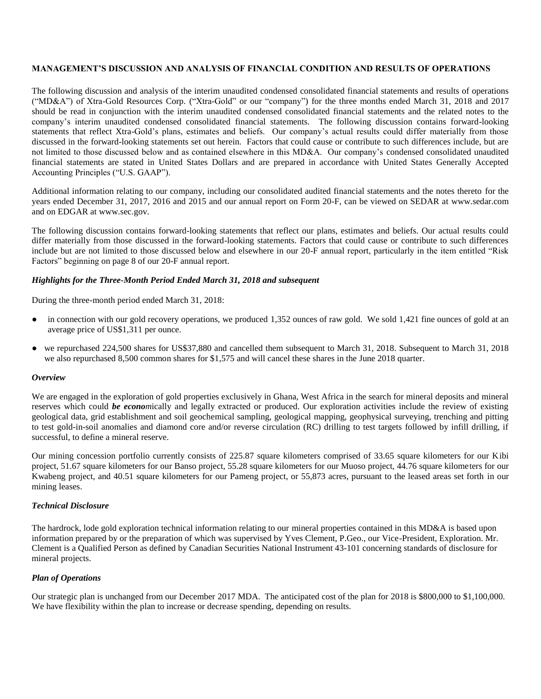### **MANAGEMENT'S DISCUSSION AND ANALYSIS OF FINANCIAL CONDITION AND RESULTS OF OPERATIONS**

The following discussion and analysis of the interim unaudited condensed consolidated financial statements and results of operations ("MD&A") of Xtra-Gold Resources Corp. ("Xtra-Gold" or our "company") for the three months ended March 31, 2018 and 2017 should be read in conjunction with the interim unaudited condensed consolidated financial statements and the related notes to the company's interim unaudited condensed consolidated financial statements. The following discussion contains forward-looking statements that reflect Xtra-Gold's plans, estimates and beliefs. Our company's actual results could differ materially from those discussed in the forward-looking statements set out herein. Factors that could cause or contribute to such differences include, but are not limited to those discussed below and as contained elsewhere in this MD&A. Our company's condensed consolidated unaudited financial statements are stated in United States Dollars and are prepared in accordance with United States Generally Accepted Accounting Principles ("U.S. GAAP").

Additional information relating to our company, including our consolidated audited financial statements and the notes thereto for the years ended December 31, 2017, 2016 and 2015 and our annual report on Form 20-F, can be viewed on SEDAR at [www.sedar.com](http://www.sedar.com/) and on EDGAR at [www.sec.gov.](http://www.sec.gov/)

The following discussion contains forward-looking statements that reflect our plans, estimates and beliefs. Our actual results could differ materially from those discussed in the forward-looking statements. Factors that could cause or contribute to such differences include but are not limited to those discussed below and elsewhere in our 20-F annual report, particularly in the item entitled "Risk Factors" beginning on page 8 of our 20-F annual report.

#### *Highlights for the Three-Month Period Ended March 31, 2018 and subsequent*

During the three-month period ended March 31, 2018:

- in connection with our gold recovery operations, we produced 1,352 ounces of raw gold. We sold 1,421 fine ounces of gold at an average price of US\$1,311 per ounce.
- we repurchased 224,500 shares for US\$37,880 and cancelled them subsequent to March 31, 2018. Subsequent to March 31, 2018 we also repurchased 8,500 common shares for \$1,575 and will cancel these shares in the June 2018 quarter.

#### *Overview*

We are engaged in the exploration of gold properties exclusively in Ghana, West Africa in the search for mineral deposits and mineral reserves which could *be econom*ically and legally extracted or produced. Our exploration activities include the review of existing geological data, grid establishment and soil geochemical sampling, geological mapping, geophysical surveying, trenching and pitting to test gold-in-soil anomalies and diamond core and/or reverse circulation (RC) drilling to test targets followed by infill drilling, if successful, to define a mineral reserve.

Our mining concession portfolio currently consists of 225.87 square kilometers comprised of 33.65 square kilometers for our Kibi project, 51.67 square kilometers for our Banso project, 55.28 square kilometers for our Muoso project, 44.76 square kilometers for our Kwabeng project, and 40.51 square kilometers for our Pameng project, or 55,873 acres, pursuant to the leased areas set forth in our mining leases.

#### *Technical Disclosure*

The hardrock, lode gold exploration technical information relating to our mineral properties contained in this MD&A is based upon information prepared by or the preparation of which was supervised by Yves Clement, P.Geo., our Vice-President, Exploration. Mr. Clement is a Qualified Person as defined by Canadian Securities National Instrument 43-101 concerning standards of disclosure for mineral projects.

#### *Plan of Operations*

Our strategic plan is unchanged from our December 2017 MDA. The anticipated cost of the plan for 2018 is \$800,000 to \$1,100,000. We have flexibility within the plan to increase or decrease spending, depending on results.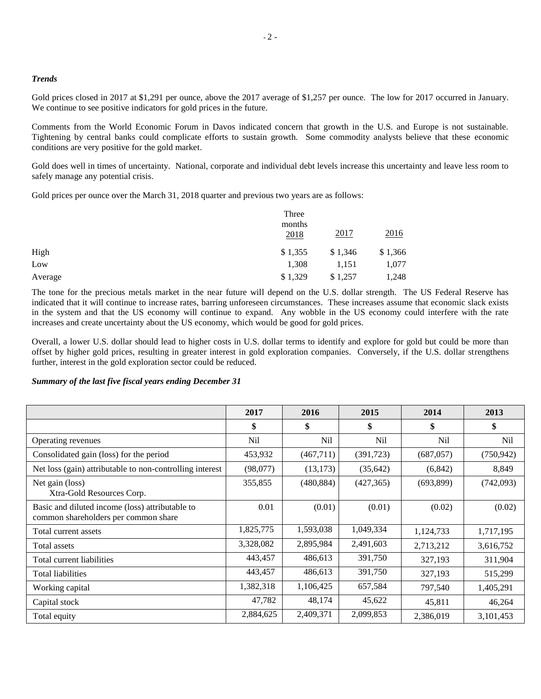#### *Trends*

Gold prices closed in 2017 at \$1,291 per ounce, above the 2017 average of \$1,257 per ounce. The low for 2017 occurred in January. We continue to see positive indicators for gold prices in the future.

Comments from the World Economic Forum in Davos indicated concern that growth in the U.S. and Europe is not sustainable. Tightening by central banks could complicate efforts to sustain growth. Some commodity analysts believe that these economic conditions are very positive for the gold market.

Gold does well in times of uncertainty. National, corporate and individual debt levels increase this uncertainty and leave less room to safely manage any potential crisis.

Gold prices per ounce over the March 31, 2018 quarter and previous two years are as follows:

|         | Three<br>months<br>2018 | 2017    | 2016    |
|---------|-------------------------|---------|---------|
| High    | \$1,355                 | \$1,346 | \$1,366 |
| Low     | 1,308                   | 1,151   | 1,077   |
| Average | \$1,329                 | \$1,257 | 1,248   |

The tone for the precious metals market in the near future will depend on the U.S. dollar strength. The US Federal Reserve has indicated that it will continue to increase rates, barring unforeseen circumstances. These increases assume that economic slack exists in the system and that the US economy will continue to expand. Any wobble in the US economy could interfere with the rate increases and create uncertainty about the US economy, which would be good for gold prices.

Overall, a lower U.S. dollar should lead to higher costs in U.S. dollar terms to identify and explore for gold but could be more than offset by higher gold prices, resulting in greater interest in gold exploration companies. Conversely, if the U.S. dollar strengthens further, interest in the gold exploration sector could be reduced.

### *Summary of the last five fiscal years ending December 31*

|                                                                                         | 2017            | 2016            | 2015            | 2014            | 2013            |
|-----------------------------------------------------------------------------------------|-----------------|-----------------|-----------------|-----------------|-----------------|
|                                                                                         | \$              | \$              | \$              | \$              | \$              |
| Operating revenues                                                                      | N <sub>il</sub> | N <sub>il</sub> | N <sub>il</sub> | N <sub>il</sub> | N <sub>il</sub> |
| Consolidated gain (loss) for the period                                                 | 453,932         | (467,711)       | (391, 723)      | (687, 057)      | (750, 942)      |
| Net loss (gain) attributable to non-controlling interest                                | (98,077)        | (13, 173)       | (35, 642)       | (6, 842)        | 8,849           |
| Net gain (loss)<br>Xtra-Gold Resources Corp.                                            | 355,855         | (480, 884)      | (427, 365)      | (693,899)       | (742,093)       |
| Basic and diluted income (loss) attributable to<br>common shareholders per common share | 0.01            | (0.01)          | (0.01)          | (0.02)          | (0.02)          |
| Total current assets                                                                    | 1,825,775       | 1,593,038       | 1,049,334       | 1,124,733       | 1,717,195       |
| Total assets                                                                            | 3,328,082       | 2,895,984       | 2,491,603       | 2,713,212       | 3,616,752       |
| Total current liabilities                                                               | 443,457         | 486,613         | 391,750         | 327,193         | 311,904         |
| <b>Total liabilities</b>                                                                | 443,457         | 486,613         | 391,750         | 327,193         | 515,299         |
| Working capital                                                                         | 1,382,318       | 1,106,425       | 657,584         | 797,540         | 1,405,291       |
| Capital stock                                                                           | 47,782          | 48,174          | 45,622          | 45,811          | 46,264          |
| Total equity                                                                            | 2,884,625       | 2,409,371       | 2,099,853       | 2,386,019       | 3,101,453       |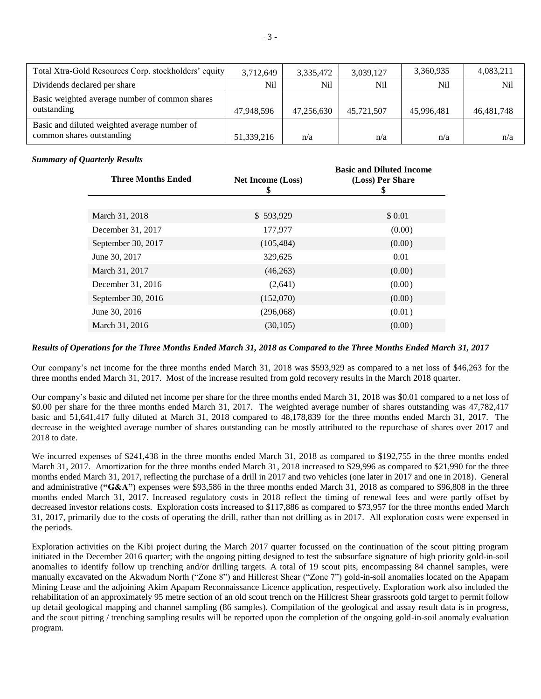| Total Xtra-Gold Resources Corp. stockholders' equity                      | 3,712,649  | 3,335,472  | 3,039,127  | 3,360,935  | 4,083,211    |
|---------------------------------------------------------------------------|------------|------------|------------|------------|--------------|
| Dividends declared per share                                              | Nil        | Nil        | Nil        | Nil        | Nil          |
| Basic weighted average number of common shares<br>outstanding             | 47,948,596 | 47,256,630 | 45,721,507 | 45,996,481 | 46, 481, 748 |
| Basic and diluted weighted average number of<br>common shares outstanding | 51,339,216 | n/a        | n/a        | n/a        | n/a          |

### *Summary of Quarterly Results*

| <b>Three Months Ended</b> | <b>Net Income (Loss)</b><br>\$ | <b>Basic and Diluted Income</b><br>(Loss) Per Share<br>\$ |
|---------------------------|--------------------------------|-----------------------------------------------------------|
|                           |                                |                                                           |
| March 31, 2018            | \$593,929                      | \$0.01                                                    |
| December 31, 2017         | 177,977                        | (0.00)                                                    |
| September 30, 2017        | (105, 484)                     | (0.00)                                                    |
| June 30, 2017             | 329,625                        | 0.01                                                      |
| March 31, 2017            | (46,263)                       | (0.00)                                                    |
| December 31, 2016         | (2,641)                        | (0.00)                                                    |
| September 30, 2016        | (152,070)                      | (0.00)                                                    |
| June 30, 2016             | (296,068)                      | (0.01)                                                    |
| March 31, 2016            | (30, 105)                      | (0.00)                                                    |

# *Results of Operations for the Three Months Ended March 31, 2018 as Compared to the Three Months Ended March 31, 2017*

Our company's net income for the three months ended March 31, 2018 was \$593,929 as compared to a net loss of \$46,263 for the three months ended March 31, 2017. Most of the increase resulted from gold recovery results in the March 2018 quarter.

Our company's basic and diluted net income per share for the three months ended March 31, 2018 was \$0.01 compared to a net loss of \$0.00 per share for the three months ended March 31, 2017. The weighted average number of shares outstanding was 47,782,417 basic and 51,641,417 fully diluted at March 31, 2018 compared to 48,178,839 for the three months ended March 31, 2017. The decrease in the weighted average number of shares outstanding can be mostly attributed to the repurchase of shares over 2017 and 2018 to date.

We incurred expenses of \$241,438 in the three months ended March 31, 2018 as compared to \$192,755 in the three months ended March 31, 2017. Amortization for the three months ended March 31, 2018 increased to \$29,996 as compared to \$21,990 for the three months ended March 31, 2017, reflecting the purchase of a drill in 2017 and two vehicles (one later in 2017 and one in 2018). General and administrative (**"G&A"**) expenses were \$93,586 in the three months ended March 31, 2018 as compared to \$96,808 in the three months ended March 31, 2017. Increased regulatory costs in 2018 reflect the timing of renewal fees and were partly offset by decreased investor relations costs. Exploration costs increased to \$117,886 as compared to \$73,957 for the three months ended March 31, 2017, primarily due to the costs of operating the drill, rather than not drilling as in 2017. All exploration costs were expensed in the periods.

Exploration activities on the Kibi project during the March 2017 quarter focussed on the continuation of the scout pitting program initiated in the December 2016 quarter; with the ongoing pitting designed to test the subsurface signature of high priority gold-in-soil anomalies to identify follow up trenching and/or drilling targets. A total of 19 scout pits, encompassing 84 channel samples, were manually excavated on the Akwadum North ("Zone 8") and Hillcrest Shear ("Zone 7") gold-in-soil anomalies located on the Apapam Mining Lease and the adjoining Akim Apapam Reconnaissance Licence application, respectively. Exploration work also included the rehabilitation of an approximately 95 metre section of an old scout trench on the Hillcrest Shear grassroots gold target to permit follow up detail geological mapping and channel sampling (86 samples). Compilation of the geological and assay result data is in progress, and the scout pitting / trenching sampling results will be reported upon the completion of the ongoing gold-in-soil anomaly evaluation program.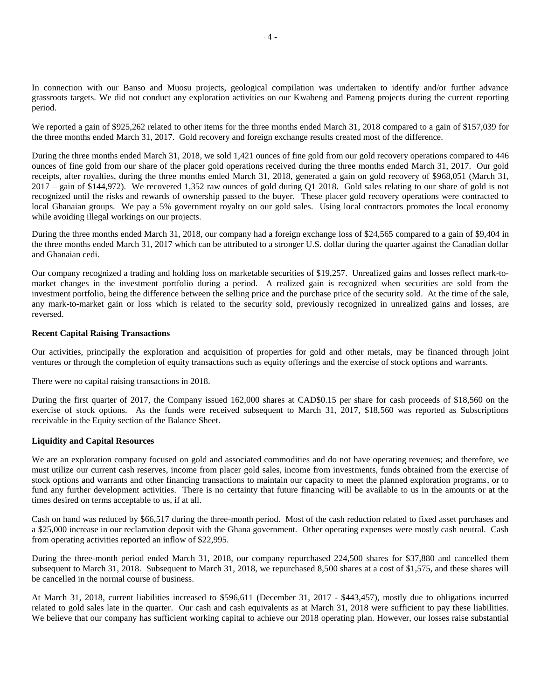In connection with our Banso and Muosu projects, geological compilation was undertaken to identify and/or further advance grassroots targets. We did not conduct any exploration activities on our Kwabeng and Pameng projects during the current reporting period.

We reported a gain of \$925,262 related to other items for the three months ended March 31, 2018 compared to a gain of \$157,039 for the three months ended March 31, 2017. Gold recovery and foreign exchange results created most of the difference.

During the three months ended March 31, 2018, we sold 1,421 ounces of fine gold from our gold recovery operations compared to 446 ounces of fine gold from our share of the placer gold operations received during the three months ended March 31, 2017. Our gold receipts, after royalties, during the three months ended March 31, 2018, generated a gain on gold recovery of \$968,051 (March 31, 2017 – gain of \$144,972). We recovered 1,352 raw ounces of gold during Q1 2018. Gold sales relating to our share of gold is not recognized until the risks and rewards of ownership passed to the buyer. These placer gold recovery operations were contracted to local Ghanaian groups. We pay a 5% government royalty on our gold sales. Using local contractors promotes the local economy while avoiding illegal workings on our projects.

During the three months ended March 31, 2018, our company had a foreign exchange loss of \$24,565 compared to a gain of \$9,404 in the three months ended March 31, 2017 which can be attributed to a stronger U.S. dollar during the quarter against the Canadian dollar and Ghanaian cedi.

Our company recognized a trading and holding loss on marketable securities of \$19,257. Unrealized gains and losses reflect mark-tomarket changes in the investment portfolio during a period. A realized gain is recognized when securities are sold from the investment portfolio, being the difference between the selling price and the purchase price of the security sold. At the time of the sale, any mark-to-market gain or loss which is related to the security sold, previously recognized in unrealized gains and losses, are reversed.

#### **Recent Capital Raising Transactions**

Our activities, principally the exploration and acquisition of properties for gold and other metals, may be financed through joint ventures or through the completion of equity transactions such as equity offerings and the exercise of stock options and warrants.

There were no capital raising transactions in 2018.

During the first quarter of 2017, the Company issued 162,000 shares at CAD\$0.15 per share for cash proceeds of \$18,560 on the exercise of stock options. As the funds were received subsequent to March 31, 2017, \$18,560 was reported as Subscriptions receivable in the Equity section of the Balance Sheet.

#### **Liquidity and Capital Resources**

We are an exploration company focused on gold and associated commodities and do not have operating revenues; and therefore, we must utilize our current cash reserves, income from placer gold sales, income from investments, funds obtained from the exercise of stock options and warrants and other financing transactions to maintain our capacity to meet the planned exploration programs, or to fund any further development activities. There is no certainty that future financing will be available to us in the amounts or at the times desired on terms acceptable to us, if at all.

Cash on hand was reduced by \$66,517 during the three-month period. Most of the cash reduction related to fixed asset purchases and a \$25,000 increase in our reclamation deposit with the Ghana government. Other operating expenses were mostly cash neutral. Cash from operating activities reported an inflow of \$22,995.

During the three-month period ended March 31, 2018, our company repurchased 224,500 shares for \$37,880 and cancelled them subsequent to March 31, 2018. Subsequent to March 31, 2018, we repurchased 8,500 shares at a cost of \$1,575, and these shares will be cancelled in the normal course of business.

At March 31, 2018, current liabilities increased to \$596,611 (December 31, 2017 - \$443,457), mostly due to obligations incurred related to gold sales late in the quarter. Our cash and cash equivalents as at March 31, 2018 were sufficient to pay these liabilities. We believe that our company has sufficient working capital to achieve our 2018 operating plan. However, our losses raise substantial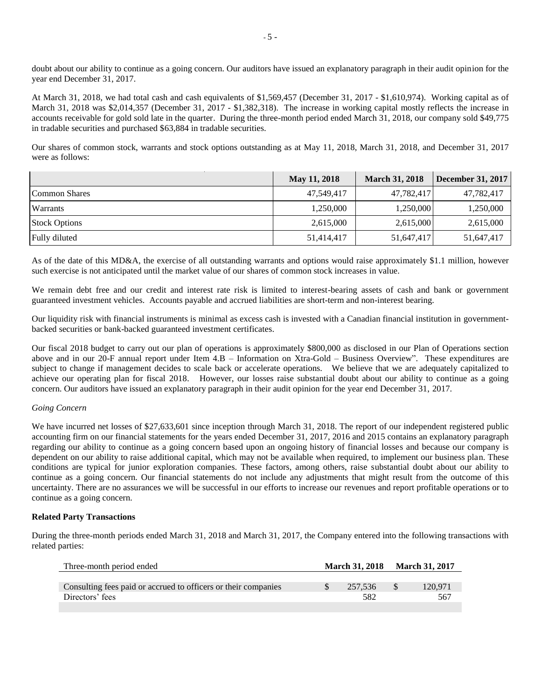doubt about our ability to continue as a going concern. Our auditors have issued an explanatory paragraph in their audit opinion for the year end December 31, 2017.

At March 31, 2018, we had total cash and cash equivalents of \$1,569,457 (December 31, 2017 - \$1,610,974). Working capital as of March 31, 2018 was \$2,014,357 (December 31, 2017 - \$1,382,318). The increase in working capital mostly reflects the increase in accounts receivable for gold sold late in the quarter. During the three-month period ended March 31, 2018, our company sold \$49,775 in tradable securities and purchased \$63,884 in tradable securities.

Our shares of common stock, warrants and stock options outstanding as at May 11, 2018, March 31, 2018, and December 31, 2017 were as follows:

|                      | May 11, 2018 | <b>March 31, 2018</b> | <b>December 31, 2017</b> |
|----------------------|--------------|-----------------------|--------------------------|
| Common Shares        | 47,549,417   | 47,782,417            | 47,782,417               |
| <b>Warrants</b>      | 1,250,000    | 1,250,000             | 1,250,000                |
| <b>Stock Options</b> | 2,615,000    | 2,615,000             | 2,615,000                |
| Fully diluted        | 51,414,417   | 51,647,417            | 51,647,417               |

As of the date of this MD&A, the exercise of all outstanding warrants and options would raise approximately \$1.1 million, however such exercise is not anticipated until the market value of our shares of common stock increases in value.

We remain debt free and our credit and interest rate risk is limited to interest-bearing assets of cash and bank or government guaranteed investment vehicles. Accounts payable and accrued liabilities are short-term and non-interest bearing.

Our liquidity risk with financial instruments is minimal as excess cash is invested with a Canadian financial institution in governmentbacked securities or bank-backed guaranteed investment certificates.

Our fiscal 2018 budget to carry out our plan of operations is approximately \$800,000 as disclosed in our Plan of Operations section above and in our 20-F annual report under Item 4.B – Information on Xtra-Gold – Business Overview". These expenditures are subject to change if management decides to scale back or accelerate operations. We believe that we are adequately capitalized to achieve our operating plan for fiscal 2018. However, our losses raise substantial doubt about our ability to continue as a going concern. Our auditors have issued an explanatory paragraph in their audit opinion for the year end December 31, 2017.

# *Going Concern*

We have incurred net losses of \$27,633,601 since inception through March 31, 2018. The report of our independent registered public accounting firm on our financial statements for the years ended December 31, 2017, 2016 and 2015 contains an explanatory paragraph regarding our ability to continue as a going concern based upon an ongoing history of financial losses and because our company is dependent on our ability to raise additional capital, which may not be available when required, to implement our business plan. These conditions are typical for junior exploration companies. These factors, among others, raise substantial doubt about our ability to continue as a going concern. Our financial statements do not include any adjustments that might result from the outcome of this uncertainty. There are no assurances we will be successful in our efforts to increase our revenues and report profitable operations or to continue as a going concern.

#### **Related Party Transactions**

During the three-month periods ended March 31, 2018 and March 31, 2017, the Company entered into the following transactions with related parties:

| Three-month period ended                                       | <b>March 31, 2018</b> | <b>March 31, 2017</b> |
|----------------------------------------------------------------|-----------------------|-----------------------|
|                                                                |                       |                       |
| Consulting fees paid or accrued to officers or their companies | 257.536               | 120.971               |
| Directors' fees                                                | 582                   | 567                   |
|                                                                |                       |                       |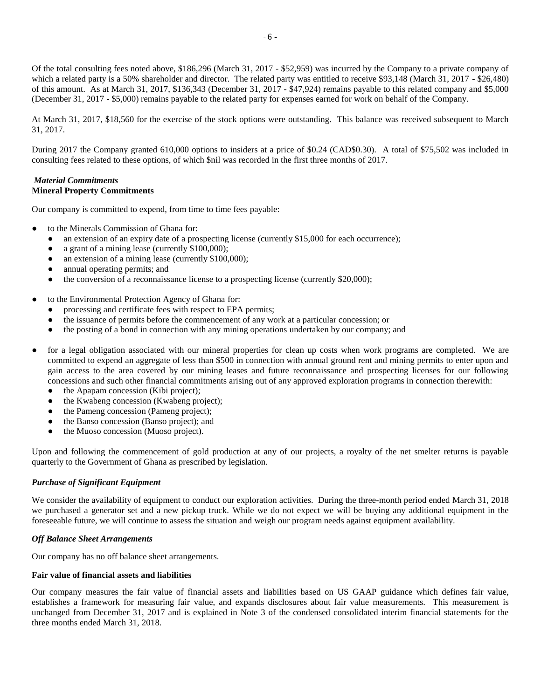Of the total consulting fees noted above, \$186,296 (March 31, 2017 - \$52,959) was incurred by the Company to a private company of which a related party is a 50% shareholder and director. The related party was entitled to receive \$93,148 (March 31, 2017 - \$26,480) of this amount. As at March 31, 2017, \$136,343 (December 31, 2017 - \$47,924) remains payable to this related company and \$5,000 (December 31, 2017 - \$5,000) remains payable to the related party for expenses earned for work on behalf of the Company.

At March 31, 2017, \$18,560 for the exercise of the stock options were outstanding. This balance was received subsequent to March 31, 2017.

During 2017 the Company granted 610,000 options to insiders at a price of \$0.24 (CAD\$0.30). A total of \$75,502 was included in consulting fees related to these options, of which \$nil was recorded in the first three months of 2017.

### *Material Commitments* **Mineral Property Commitments**

Our company is committed to expend, from time to time fees payable:

- to the Minerals Commission of Ghana for:
	- an extension of an expiry date of a prospecting license (currently \$15,000 for each occurrence);
	- a grant of a mining lease (currently  $$100,000$ );
	- an extension of a mining lease (currently  $$100,000$ );
	- annual operating permits; and
	- the conversion of a reconnaissance license to a prospecting license (currently \$20,000);
- to the Environmental Protection Agency of Ghana for:
	- processing and certificate fees with respect to EPA permits;
	- the issuance of permits before the commencement of any work at a particular concession; or
	- the posting of a bond in connection with any mining operations undertaken by our company; and
- for a legal obligation associated with our mineral properties for clean up costs when work programs are completed. We are committed to expend an aggregate of less than \$500 in connection with annual ground rent and mining permits to enter upon and gain access to the area covered by our mining leases and future reconnaissance and prospecting licenses for our following concessions and such other financial commitments arising out of any approved exploration programs in connection therewith:
	- the Apapam concession (Kibi project);
	- the Kwabeng concession (Kwabeng project);
	- the Pameng concession (Pameng project);
	- the Banso concession (Banso project); and
	- the Muoso concession (Muoso project).

Upon and following the commencement of gold production at any of our projects, a royalty of the net smelter returns is payable quarterly to the Government of Ghana as prescribed by legislation.

# *Purchase of Significant Equipment*

We consider the availability of equipment to conduct our exploration activities. During the three-month period ended March 31, 2018 we purchased a generator set and a new pickup truck. While we do not expect we will be buying any additional equipment in the foreseeable future, we will continue to assess the situation and weigh our program needs against equipment availability.

#### *Off Balance Sheet Arrangements*

Our company has no off balance sheet arrangements.

#### **Fair value of financial assets and liabilities**

Our company measures the fair value of financial assets and liabilities based on US GAAP guidance which defines fair value, establishes a framework for measuring fair value, and expands disclosures about fair value measurements. This measurement is unchanged from December 31, 2017 and is explained in Note 3 of the condensed consolidated interim financial statements for the three months ended March 31, 2018.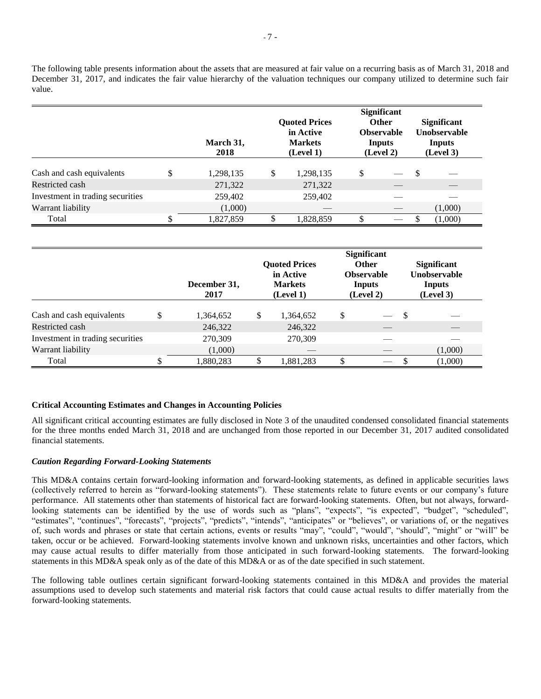The following table presents information about the assets that are measured at fair value on a recurring basis as of March 31, 2018 and December 31, 2017, and indicates the fair value hierarchy of the valuation techniques our company utilized to determine such fair value.

|                                  |   | March 31,<br>2018 | <b>Quoted Prices</b><br>in Active<br><b>Markets</b><br>(Level 1) |   | <b>Significant</b><br><b>Other</b><br><b>Observable</b><br>Inputs<br>(Level 2) |               | <b>Significant</b><br><b>Unobservable</b><br>Inputs<br>(Level 3) |
|----------------------------------|---|-------------------|------------------------------------------------------------------|---|--------------------------------------------------------------------------------|---------------|------------------------------------------------------------------|
| Cash and cash equivalents        | ¢ | 1,298,135         | \$<br>1,298,135                                                  | S |                                                                                | <sup>\$</sup> |                                                                  |
| Restricted cash                  |   | 271,322           | 271,322                                                          |   |                                                                                |               |                                                                  |
| Investment in trading securities |   | 259,402           | 259,402                                                          |   |                                                                                |               |                                                                  |
| Warrant liability                |   | (1,000)           |                                                                  |   |                                                                                |               | (1,000)                                                          |
| Total                            |   | 1,827,859         | 1,828,859                                                        |   |                                                                                |               | (1,000)                                                          |

|                                  |    | December 31,<br>2017 | <b>Quoted Prices</b><br>in Active<br><b>Markets</b><br>(Level 1) | <b>Significant</b><br><b>Other</b><br><b>Observable</b><br>Inputs<br>(Level 2) |          | <b>Significant</b><br><b>Unobservable</b><br>Inputs<br>(Level 3) |
|----------------------------------|----|----------------------|------------------------------------------------------------------|--------------------------------------------------------------------------------|----------|------------------------------------------------------------------|
| Cash and cash equivalents        | \$ | 1,364,652            | \$<br>1,364,652                                                  | \$                                                                             | -S       |                                                                  |
| Restricted cash                  |    | 246,322              | 246,322                                                          |                                                                                |          |                                                                  |
| Investment in trading securities |    | 270,309              | 270,309                                                          |                                                                                |          |                                                                  |
| Warrant liability                |    | (1,000)              |                                                                  |                                                                                |          | (1,000)                                                          |
| Total                            | Φ  | 1,880,283            | 1,881,283                                                        | \$                                                                             | <b>S</b> | (1,000)                                                          |

# **Critical Accounting Estimates and Changes in Accounting Policies**

All significant critical accounting estimates are fully disclosed in Note 3 of the unaudited condensed consolidated financial statements for the three months ended March 31, 2018 and are unchanged from those reported in our December 31, 2017 audited consolidated financial statements.

#### *Caution Regarding Forward-Looking Statements*

This MD&A contains certain forward-looking information and forward-looking statements, as defined in applicable securities laws (collectively referred to herein as "forward-looking statements"). These statements relate to future events or our company's future performance. All statements other than statements of historical fact are forward-looking statements. Often, but not always, forwardlooking statements can be identified by the use of words such as "plans", "expects", "is expected", "budget", "scheduled", "estimates", "continues", "forecasts", "projects", "predicts", "intends", "anticipates" or "believes", or variations of, or the negatives of, such words and phrases or state that certain actions, events or results "may", "could", "would", "should", "might" or "will" be taken, occur or be achieved. Forward-looking statements involve known and unknown risks, uncertainties and other factors, which may cause actual results to differ materially from those anticipated in such forward-looking statements. The forward-looking statements in this MD&A speak only as of the date of this MD&A or as of the date specified in such statement.

The following table outlines certain significant forward-looking statements contained in this MD&A and provides the material assumptions used to develop such statements and material risk factors that could cause actual results to differ materially from the forward-looking statements.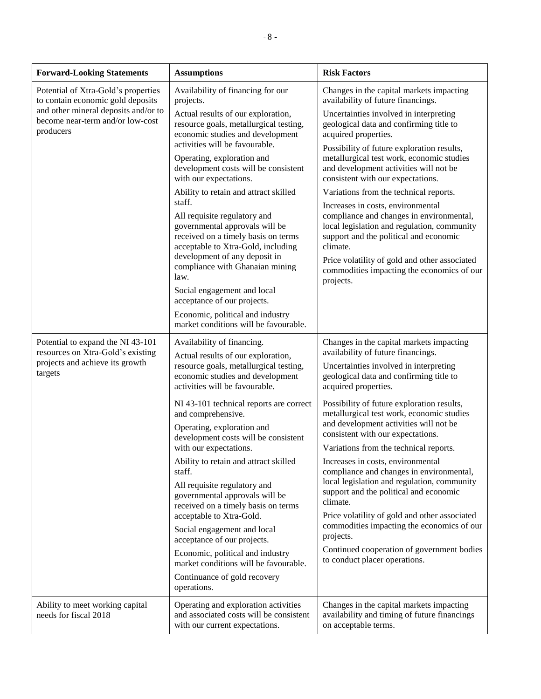| <b>Forward-Looking Statements</b>                                                                                                                                                                | <b>Assumptions</b>                                                                                                                                                           | <b>Risk Factors</b>                                                                                                                                                                                                                 |
|--------------------------------------------------------------------------------------------------------------------------------------------------------------------------------------------------|------------------------------------------------------------------------------------------------------------------------------------------------------------------------------|-------------------------------------------------------------------------------------------------------------------------------------------------------------------------------------------------------------------------------------|
| Potential of Xtra-Gold's properties<br>to contain economic gold deposits                                                                                                                         | Availability of financing for our<br>projects.                                                                                                                               | Changes in the capital markets impacting<br>availability of future financings.                                                                                                                                                      |
| and other mineral deposits and/or to<br>become near-term and/or low-cost<br>producers                                                                                                            | Actual results of our exploration,<br>resource goals, metallurgical testing,<br>economic studies and development<br>activities will be favourable.                           | Uncertainties involved in interpreting<br>geological data and confirming title to<br>acquired properties.                                                                                                                           |
|                                                                                                                                                                                                  | Operating, exploration and<br>development costs will be consistent<br>with our expectations.                                                                                 | Possibility of future exploration results,<br>metallurgical test work, economic studies<br>and development activities will not be<br>consistent with our expectations.                                                              |
|                                                                                                                                                                                                  | Ability to retain and attract skilled<br>staff.                                                                                                                              | Variations from the technical reports.                                                                                                                                                                                              |
|                                                                                                                                                                                                  | All requisite regulatory and<br>governmental approvals will be<br>received on a timely basis on terms<br>acceptable to Xtra-Gold, including<br>development of any deposit in | Increases in costs, environmental<br>compliance and changes in environmental,<br>local legislation and regulation, community<br>support and the political and economic<br>climate.<br>Price volatility of gold and other associated |
|                                                                                                                                                                                                  | compliance with Ghanaian mining<br>law.                                                                                                                                      | commodities impacting the economics of our<br>projects.                                                                                                                                                                             |
|                                                                                                                                                                                                  | Social engagement and local<br>acceptance of our projects.                                                                                                                   |                                                                                                                                                                                                                                     |
|                                                                                                                                                                                                  | Economic, political and industry<br>market conditions will be favourable.                                                                                                    |                                                                                                                                                                                                                                     |
| Potential to expand the NI 43-101<br>resources on Xtra-Gold's existing                                                                                                                           | Availability of financing.                                                                                                                                                   |                                                                                                                                                                                                                                     |
| Actual results of our exploration,<br>projects and achieve its growth<br>resource goals, metallurgical testing,<br>targets<br>economic studies and development<br>activities will be favourable. |                                                                                                                                                                              | availability of future financings.<br>Uncertainties involved in interpreting<br>geological data and confirming title to<br>acquired properties.                                                                                     |
|                                                                                                                                                                                                  | NI 43-101 technical reports are correct<br>and comprehensive.                                                                                                                | Possibility of future exploration results,<br>metallurgical test work, economic studies                                                                                                                                             |
|                                                                                                                                                                                                  | Operating, exploration and<br>development costs will be consistent                                                                                                           | and development activities will not be<br>consistent with our expectations.                                                                                                                                                         |
|                                                                                                                                                                                                  | with our expectations.<br>Ability to retain and attract skilled                                                                                                              | Variations from the technical reports.<br>Increases in costs, environmental                                                                                                                                                         |
|                                                                                                                                                                                                  | staff.                                                                                                                                                                       | compliance and changes in environmental,<br>local legislation and regulation, community                                                                                                                                             |
|                                                                                                                                                                                                  | All requisite regulatory and<br>governmental approvals will be<br>received on a timely basis on terms                                                                        | support and the political and economic<br>climate.                                                                                                                                                                                  |
|                                                                                                                                                                                                  | acceptable to Xtra-Gold.                                                                                                                                                     | Price volatility of gold and other associated<br>commodities impacting the economics of our                                                                                                                                         |
|                                                                                                                                                                                                  | Social engagement and local<br>acceptance of our projects.                                                                                                                   | projects.                                                                                                                                                                                                                           |
|                                                                                                                                                                                                  | Economic, political and industry<br>market conditions will be favourable.                                                                                                    | Continued cooperation of government bodies<br>to conduct placer operations.                                                                                                                                                         |
|                                                                                                                                                                                                  | Continuance of gold recovery<br>operations.                                                                                                                                  |                                                                                                                                                                                                                                     |
| Ability to meet working capital<br>needs for fiscal 2018                                                                                                                                         | Operating and exploration activities<br>and associated costs will be consistent<br>with our current expectations.                                                            | Changes in the capital markets impacting<br>availability and timing of future financings<br>on acceptable terms.                                                                                                                    |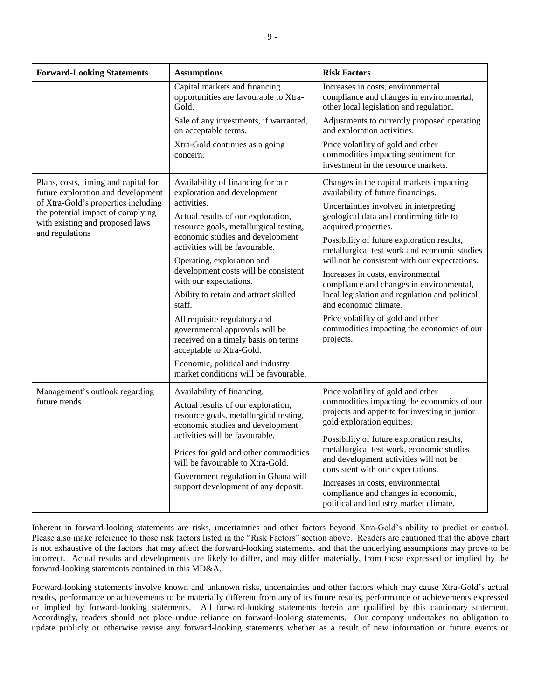| <b>Forward-Looking Statements</b>                                                                                                                                                                            | <b>Assumptions</b>                                                                                                                                                                                                                                                                                                                                                                                                                                                                                                                                                                                         | <b>Risk Factors</b>                                                                                                                                                                                                                                                                                                                                                                                                                                                                                                                                                                                     |
|--------------------------------------------------------------------------------------------------------------------------------------------------------------------------------------------------------------|------------------------------------------------------------------------------------------------------------------------------------------------------------------------------------------------------------------------------------------------------------------------------------------------------------------------------------------------------------------------------------------------------------------------------------------------------------------------------------------------------------------------------------------------------------------------------------------------------------|---------------------------------------------------------------------------------------------------------------------------------------------------------------------------------------------------------------------------------------------------------------------------------------------------------------------------------------------------------------------------------------------------------------------------------------------------------------------------------------------------------------------------------------------------------------------------------------------------------|
|                                                                                                                                                                                                              | Capital markets and financing<br>opportunities are favourable to Xtra-<br>Gold.                                                                                                                                                                                                                                                                                                                                                                                                                                                                                                                            | Increases in costs, environmental<br>compliance and changes in environmental,<br>other local legislation and regulation.                                                                                                                                                                                                                                                                                                                                                                                                                                                                                |
|                                                                                                                                                                                                              | Sale of any investments, if warranted,<br>on acceptable terms.                                                                                                                                                                                                                                                                                                                                                                                                                                                                                                                                             | Adjustments to currently proposed operating<br>and exploration activities.                                                                                                                                                                                                                                                                                                                                                                                                                                                                                                                              |
|                                                                                                                                                                                                              | Xtra-Gold continues as a going<br>concern.                                                                                                                                                                                                                                                                                                                                                                                                                                                                                                                                                                 | Price volatility of gold and other<br>commodities impacting sentiment for<br>investment in the resource markets.                                                                                                                                                                                                                                                                                                                                                                                                                                                                                        |
| Plans, costs, timing and capital for<br>future exploration and development<br>of Xtra-Gold's properties including<br>the potential impact of complying<br>with existing and proposed laws<br>and regulations | Availability of financing for our<br>exploration and development<br>activities.<br>Actual results of our exploration,<br>resource goals, metallurgical testing,<br>economic studies and development<br>activities will be favourable.<br>Operating, exploration and<br>development costs will be consistent<br>with our expectations.<br>Ability to retain and attract skilled<br>staff.<br>All requisite regulatory and<br>governmental approvals will be<br>received on a timely basis on terms<br>acceptable to Xtra-Gold.<br>Economic, political and industry<br>market conditions will be favourable. | Changes in the capital markets impacting<br>availability of future financings.<br>Uncertainties involved in interpreting<br>geological data and confirming title to<br>acquired properties.<br>Possibility of future exploration results,<br>metallurgical test work and economic studies<br>will not be consistent with our expectations.<br>Increases in costs, environmental<br>compliance and changes in environmental,<br>local legislation and regulation and political<br>and economic climate.<br>Price volatility of gold and other<br>commodities impacting the economics of our<br>projects. |
| Management's outlook regarding<br>future trends                                                                                                                                                              | Availability of financing.<br>Actual results of our exploration,<br>resource goals, metallurgical testing,<br>economic studies and development<br>activities will be favourable.<br>Prices for gold and other commodities<br>will be favourable to Xtra-Gold.<br>Government regulation in Ghana will<br>support development of any deposit.                                                                                                                                                                                                                                                                | Price volatility of gold and other<br>commodities impacting the economics of our<br>projects and appetite for investing in junior<br>gold exploration equities.<br>Possibility of future exploration results,<br>metallurgical test work, economic studies<br>and development activities will not be<br>consistent with our expectations.<br>Increases in costs, environmental<br>compliance and changes in economic,<br>political and industry market climate.                                                                                                                                         |

Inherent in forward-looking statements are risks, uncertainties and other factors beyond Xtra-Gold's ability to predict or control. Please also make reference to those risk factors listed in the "Risk Factors" section above. Readers are cautioned that the above chart is not exhaustive of the factors that may affect the forward-looking statements, and that the underlying assumptions may prove to be incorrect. Actual results and developments are likely to differ, and may differ materially, from those expressed or implied by the forward-looking statements contained in this MD&A.

Forward-looking statements involve known and unknown risks, uncertainties and other factors which may cause Xtra-Gold's actual results, performance or achievements to be materially different from any of its future results, performance or achievements expressed or implied by forward-looking statements. All forward-looking statements herein are qualified by this cautionary statement. Accordingly, readers should not place undue reliance on forward-looking statements. Our company undertakes no obligation to update publicly or otherwise revise any forward-looking statements whether as a result of new information or future events or